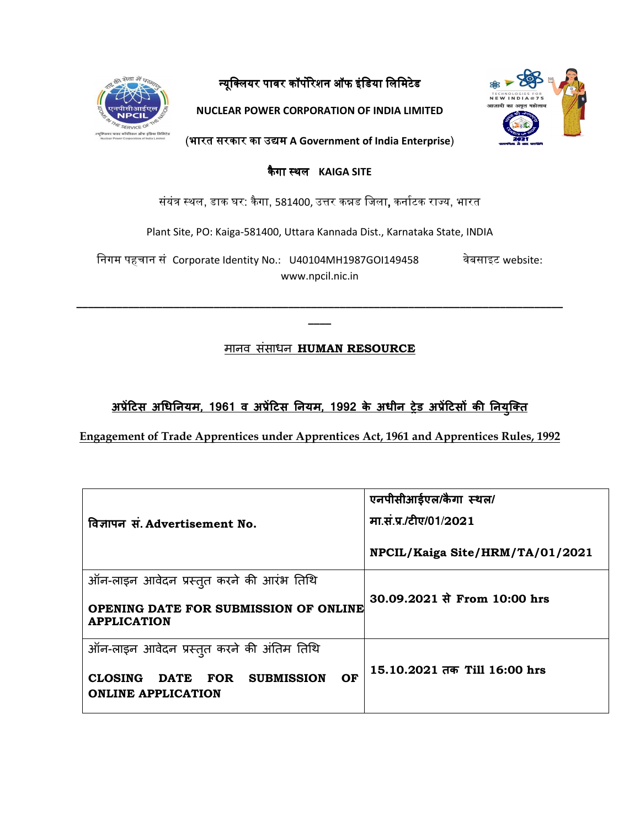

न्यूक्लियर पावर कॉर्पोरेशन ऑफ इंडिया लिमिटेड

**NUCLEAR POWER CORPORATION OF INDIA LIMITED** 



(भारत सरकार का उ᳒म भारत उ᳒म **A Government of India Enterprise**)

कै गा ᭭थल **KAIGA SITE** 

संयंत्र स्थल, डाक घर: कैगा, 581400, उत्तर कन्नड जिला, कर्नाटक राज्य, भारत

Plant Site, PO: Kaiga-581400, Uttara Kannada Dist., Karnataka State, INDIA

िनगम पहचान सं Corporate Identity No.: U40104MH1987GOI149458 वेबसाइट website: www.npcil.nic.in

मानव संसाधन **HUMAN RESOURCE**

**\_\_\_\_\_\_\_\_\_\_\_\_\_\_\_\_\_\_\_\_\_\_\_\_\_\_\_\_\_\_\_\_\_\_\_\_\_\_\_\_\_\_\_\_\_\_\_\_\_\_\_\_\_\_\_\_\_\_\_\_\_\_\_\_\_\_\_\_\_\_\_\_\_\_\_\_\_\_\_\_\_\_\_\_\_ \_\_\_\_** 

<u>अप्रेटिस अधिनियम, 1961 व अप्रेटिस नियम, 1992 के अधीन ट्रेड अप्रेटिसों की नियुक्ति </u>

**Engagement of Trade Apprentices under Apprentices Act, 1961 and Apprentices Rules, 1992**

|                                                                                    | एनपीसीआईएल/कैगा स्थल/           |  |  |  |
|------------------------------------------------------------------------------------|---------------------------------|--|--|--|
| विज्ञापन सं. Advertisement No.                                                     | मा.सं.प्र./टीए/01/2021          |  |  |  |
|                                                                                    | NPCIL/Kaiga Site/HRM/TA/01/2021 |  |  |  |
| ऑन-लाइन आवेदन प्रस्तुत करने की आरंभ तिथि                                           |                                 |  |  |  |
| OPENING DATE FOR SUBMISSION OF ONLINE<br><b>APPLICATION</b>                        | 30.09.2021 से From 10:00 hrs    |  |  |  |
| ऑन-लाइन आवेदन प्रस्तुत करने की अंतिम तिथि                                          |                                 |  |  |  |
| <b>SUBMISSION</b><br>OF<br><b>CLOSING</b><br>DATE FOR<br><b>ONLINE APPLICATION</b> | 15.10.2021 तक Till 16:00 hrs    |  |  |  |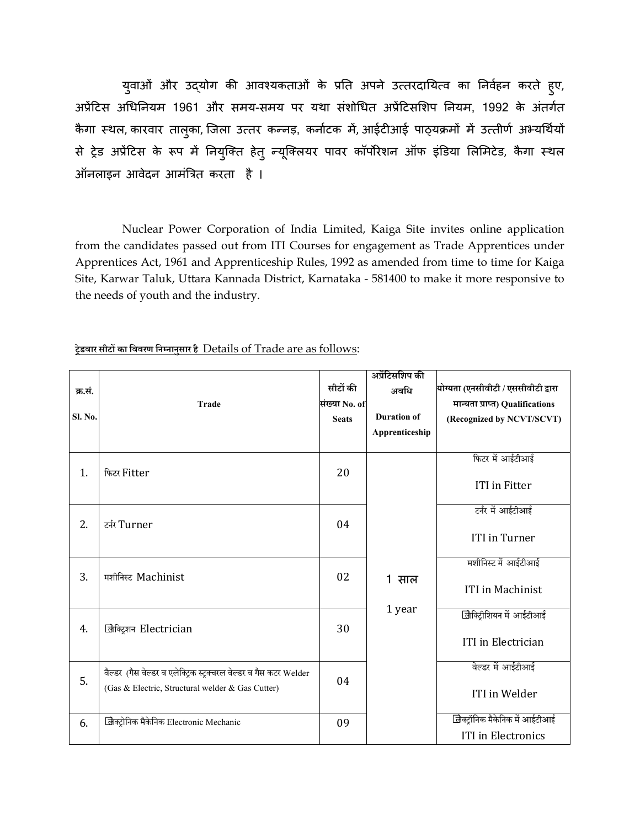युवाओं और उद्योग की आवश्यकताओं के प्रति अपने उत्तरदायित्व का निर्वहन करते हुए, अप्रेंटिस अधिनियम 1961 और समय-समय पर यथा संशोधित अप्रेंटिसशिप नियम, 1992 के अंतर्गत कैगा स्थल, कारवार ताल्का, जिला उत्तर कन्नड़, कर्नाटक में, आईटीआई पाठ्यक्रमों में उत्तीर्ण अभ्यर्थियों से ट्रेड अप्रेंटिस के रूप में नियुक्ति हेतु न्यूक्लियर पावर कॉर्पोरेशन ऑफ इंडिया लिमिटेड, कैगा स्थल ऑनलाइन आवेदन आमंत्रित करता है।

Nuclear Power Corporation of India Limited, Kaiga Site invites online application from the candidates passed out from ITI Courses for engagement as Trade Apprentices under Apprentices Act, 1961 and Apprenticeship Rules, 1992 as amended from time to time for Kaiga Site, Karwar Taluk, Uttara Kannada District, Karnataka - 581400 to make it more responsive to the needs of youth and the industry.

| क्र.सं.<br>Sl. No. | <b>Trade</b>                                                                                                           | सीटों की<br>संख्या No. of<br><b>Seats</b> | अप्रेंटिसशिप की<br>अवधि<br><b>Duration of</b><br>Apprenticeship | योग्यता (एनसीवीटी / एससीवीटी द्वारा<br>मान्यता प्राप्त) Qualifications<br>(Recognized by NCVT/SCVT) |
|--------------------|------------------------------------------------------------------------------------------------------------------------|-------------------------------------------|-----------------------------------------------------------------|-----------------------------------------------------------------------------------------------------|
| 1.                 | फिटर Fitter                                                                                                            | 20                                        | $\mathbf{1}$<br>साल<br>1 year                                   | फिटर में आईटीआई<br><b>ITI</b> in Fitter                                                             |
| 2.                 | टर्नर Turner                                                                                                           | 04                                        |                                                                 | टर्नर में आईटीआई<br><b>ITI</b> in Turner                                                            |
| 3.                 | मशीनिस्ट Machinist                                                                                                     | 02                                        |                                                                 | मशीनिस्ट में आईटीआई<br><b>ITI</b> in Machinist                                                      |
| 4.                 | जिक्ट्रिशन Electrician                                                                                                 | 30                                        |                                                                 | जिक्ट्रिशियन में आईटीआई<br><b>ITI</b> in Electrician                                                |
| 5.                 | वैल्डर (गैस वेल्डर व एलेक्ट्रिक स्ट्रक्चरल वेल्डर व गैस कटर Welder<br>(Gas & Electric, Structural welder & Gas Cutter) | 04                                        |                                                                 | वेल्डर में आईटीआई<br>ITI in Welder                                                                  |
| 6.                 | लिक्ट्रोनिक मैकेनिक Electronic Mechanic                                                                                | 09                                        |                                                                 | लिक्ट्रॉनिक मैकेनिक में आईटीआई<br><b>ITI</b> in Electronics                                         |

**ेडवार सीट का िववरण िन नानुसार है** Details of Trade are as follows: